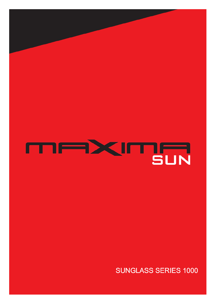

## **SUNGLASS SERIES 1000**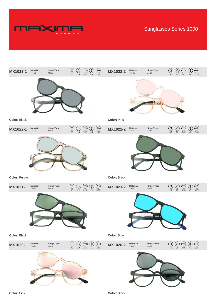

Sunglasses Series 1000



**Color:** Black

## **Color:** Blue



**Color:** Pink

**Color:** Black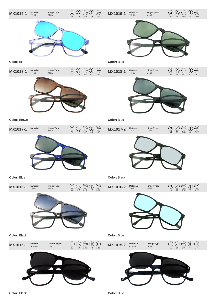

**Color:** Black

## **Color:** Blue



**Color:** Black

**Color:** Blue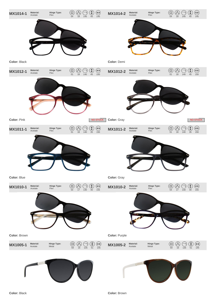

**MX1005-1 Material:**  $(\mathcal{V})$ **MX1005-2 Material: Hinge Type: Hinge Type:** Acetate Acetate Metal 59 16 135 51 145 Metal 59 16 135 51 145





**Color:** Brown

**Color:** Purple

**Color:** Black

**Color:** Brown